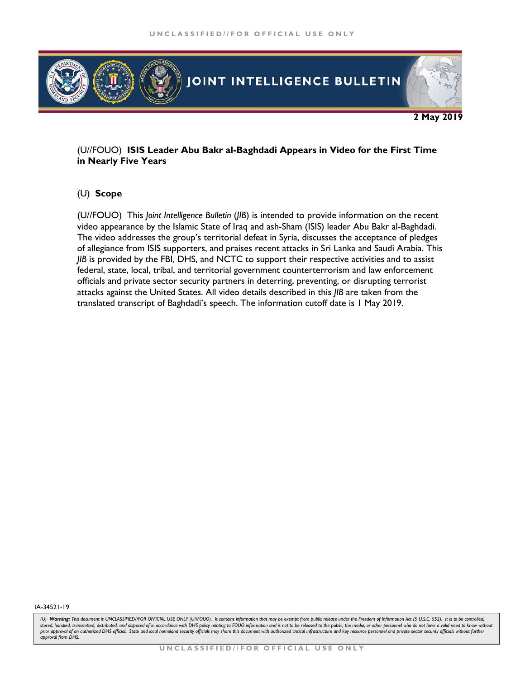

## (U//FOUO) **ISIS Leader Abu Bakr al-Baghdadi Appears in Video for the First Time in Nearly Five Years**

# (U) **Scope**

(U//FOUO) This *Joint Intelligence Bulletin* (*JIB*) is intended to provide information on the recent video appearance by the Islamic State of Iraq and ash-Sham (ISIS) leader Abu Bakr al-Baghdadi. The video addresses the group's territorial defeat in Syria, discusses the acceptance of pledges of allegiance from ISIS supporters, and praises recent attacks in Sri Lanka and Saudi Arabia. This *JIB* is provided by the FBI, DHS, and NCTC to support their respective activities and to assist federal, state, local, tribal, and territorial government counterterrorism and law enforcement officials and private sector security partners in deterring, preventing, or disrupting terrorist attacks against the United States. All video details described in this *JIB* are taken from the translated transcript of Baghdadi's speech. The information cutoff date is 1 May 2019.

#### IA-34521-19

<sup>(</sup>U) Warning: This document is UNCLASSIFIED//FOR OFFICIAL USE ONLY (U/IFOUO). It contains information that may be exempt from public release under the Freedom of Information Act (5 U.S.C. 552). It is to be controlled, stored, handled, transmitted, distributed, and disposed of in accordance with DHS policy relating to FOUO information and is not to be released to the public, the media, or other personnel who do not have a valid need to k prior approval of an authorized DHS official. State and local homeland security officials may share this document with authorized critical infrastructure and key resource personnel and private sector security officials wit *approval from DHS.*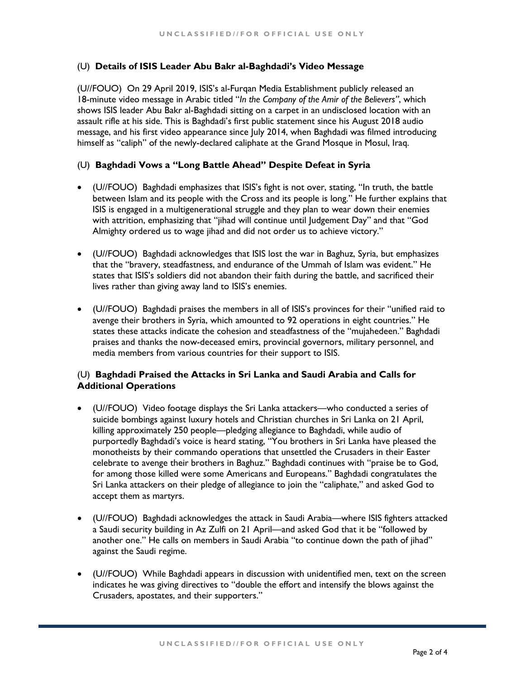## (U) **Details of ISIS Leader Abu Bakr al-Baghdadi's Video Message**

(U//FOUO) On 29 April 2019, ISIS's al-Furqan Media Establishment publicly released an 18-minute video message in Arabic titled "*In the Company of the Amir of the Believers"*, which shows ISIS leader Abu Bakr al-Baghdadi sitting on a carpet in an undisclosed location with an assault rifle at his side. This is Baghdadi's first public statement since his August 2018 audio message, and his first video appearance since July 2014, when Baghdadi was filmed introducing himself as "caliph" of the newly-declared caliphate at the Grand Mosque in Mosul, Iraq.

## (U) **Baghdadi Vows a "Long Battle Ahead" Despite Defeat in Syria**

- (U//FOUO) Baghdadi emphasizes that ISIS's fight is not over, stating, "In truth, the battle between Islam and its people with the Cross and its people is long." He further explains that ISIS is engaged in a multigenerational struggle and they plan to wear down their enemies with attrition, emphasizing that "jihad will continue until Judgement Day" and that "God Almighty ordered us to wage jihad and did not order us to achieve victory."
- (U//FOUO) Baghdadi acknowledges that ISIS lost the war in Baghuz, Syria, but emphasizes that the "bravery, steadfastness, and endurance of the Ummah of Islam was evident." He states that ISIS's soldiers did not abandon their faith during the battle, and sacrificed their lives rather than giving away land to ISIS's enemies.
- (U//FOUO) Baghdadi praises the members in all of ISIS's provinces for their "unified raid to avenge their brothers in Syria, which amounted to 92 operations in eight countries." He states these attacks indicate the cohesion and steadfastness of the "mujahedeen." Baghdadi praises and thanks the now-deceased emirs, provincial governors, military personnel, and media members from various countries for their support to ISIS.

# (U) **Baghdadi Praised the Attacks in Sri Lanka and Saudi Arabia and Calls for Additional Operations**

- (U//FOUO) Video footage displays the Sri Lanka attackers—who conducted a series of suicide bombings against luxury hotels and Christian churches in Sri Lanka on 21 April, killing approximately 250 people—pledging allegiance to Baghdadi, while audio of purportedly Baghdadi's voice is heard stating, "You brothers in Sri Lanka have pleased the monotheists by their commando operations that unsettled the Crusaders in their Easter celebrate to avenge their brothers in Baghuz." Baghdadi continues with "praise be to God, for among those killed were some Americans and Europeans." Baghdadi congratulates the Sri Lanka attackers on their pledge of allegiance to join the "caliphate," and asked God to accept them as martyrs.
- (U//FOUO) Baghdadi acknowledges the attack in Saudi Arabia—where ISIS fighters attacked a Saudi security building in Az Zulfi on 21 April—and asked God that it be "followed by another one." He calls on members in Saudi Arabia "to continue down the path of jihad" against the Saudi regime.
- (U//FOUO) While Baghdadi appears in discussion with unidentified men, text on the screen indicates he was giving directives to "double the effort and intensify the blows against the Crusaders, apostates, and their supporters."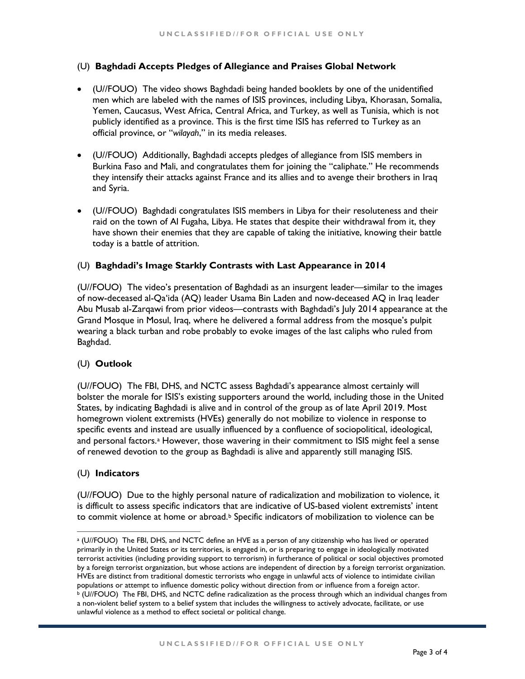# (U) **Baghdadi Accepts Pledges of Allegiance and Praises Global Network**

- (U//FOUO) The video shows Baghdadi being handed booklets by one of the unidentified men which are labeled with the names of ISIS provinces, including Libya, Khorasan, Somalia, Yemen, Caucasus, West Africa, Central Africa, and Turkey, as well as Tunisia, which is not publicly identified as a province. This is the first time ISIS has referred to Turkey as an official province, or "*wilayah*," in its media releases.
- (U//FOUO) Additionally, Baghdadi accepts pledges of allegiance from ISIS members in Burkina Faso and Mali, and congratulates them for joining the "caliphate." He recommends they intensify their attacks against France and its allies and to avenge their brothers in Iraq and Syria.
- (U//FOUO) Baghdadi congratulates ISIS members in Libya for their resoluteness and their raid on the town of Al Fugaha, Libya. He states that despite their withdrawal from it, they have shown their enemies that they are capable of taking the initiative, knowing their battle today is a battle of attrition.

#### (U) **Baghdadi's Image Starkly Contrasts with Last Appearance in 2014**

(U//FOUO) The video's presentation of Baghdadi as an insurgent leader—similar to the images of now-deceased al-Qa'ida (AQ) leader Usama Bin Laden and now-deceased AQ in Iraq leader Abu Musab al-Zarqawi from prior videos—contrasts with Baghdadi's July 2014 appearance at the Grand Mosque in Mosul, Iraq, where he delivered a formal address from the mosque's pulpit wearing a black turban and robe probably to evoke images of the last caliphs who ruled from Baghdad.

#### (U) **Outlook**

(U//FOUO) The FBI, DHS, and NCTC assess Baghdadi's appearance almost certainly will bolster the morale for ISIS's existing supporters around the world, including those in the United States, by indicating Baghdadi is alive and in control of the group as of late April 2019. Most homegrown violent extremists (HVEs) generally do not mobilize to violence in response to specific events and instead are usually influenced by a confluence of sociopolitical, ideological, [a](#page-2-0)nd personal factors.ª However, those wavering in their commitment to ISIS might feel a sense of renewed devotion to the group as Baghdadi is alive and apparently still managing ISIS.

#### (U) **Indicators**

(U//FOUO) Due to the highly personal nature of radicalization and mobilization to violence, it is difficult to assess specific indicators that are indicative of US-based violent extremists' intent to commit violence at home or a[b](#page-2-1)road.<sup>b</sup> Specific indicators of mobilization to violence can be

<span id="page-2-1"></span><span id="page-2-0"></span>a (U//FOUO) The FBI, DHS, and NCTC define an HVE as a person of any citizenship who has lived or operated primarily in the United States or its territories, is engaged in, or is preparing to engage in ideologically motivated terrorist activities (including providing support to terrorism) in furtherance of political or social objectives promoted by a foreign terrorist organization, but whose actions are independent of direction by a foreign terrorist organization. HVEs are distinct from traditional domestic terrorists who engage in unlawful acts of violence to intimidate civilian populations or attempt to influence domestic policy without direction from or influence from a foreign actor. <sup>b</sup> (U//FOUO) The FBI, DHS, and NCTC define radicalization as the process through which an individual changes from a non-violent belief system to a belief system that includes the willingness to actively advocate, facilitate, or use unlawful violence as a method to effect societal or political change.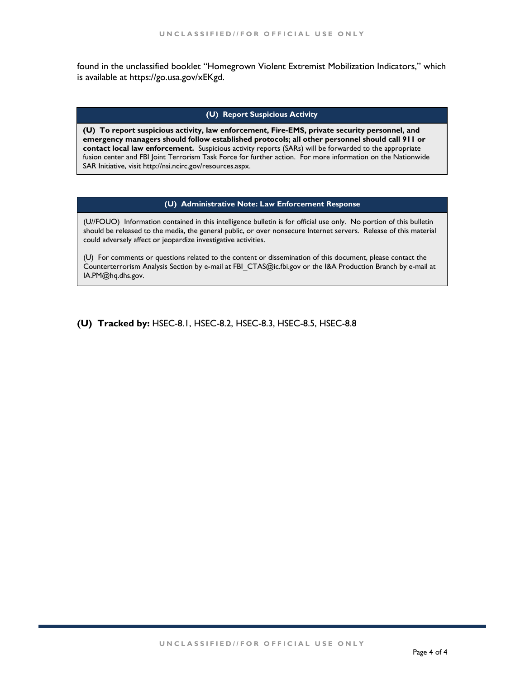found in the unclassified booklet "Homegrown Violent Extremist Mobilization Indicators," which is available at https://go.usa.gov/xEKgd.

## **(U) Report Suspicious Activity**

**(U) To report suspicious activity, law enforcement, Fire-EMS, private security personnel, and emergency managers should follow established protocols; all other personnel should call 911 or contact local law enforcement.** Suspicious activity reports (SARs) will be forwarded to the appropriate fusion center and FBI Joint Terrorism Task Force for further action. For more information on the Nationwide SAR Initiative, visit http://nsi.ncirc.gov/resources.aspx.

#### **(U) Administrative Note: Law Enforcement Response**

(U//FOUO) Information contained in this intelligence bulletin is for official use only. No portion of this bulletin should be released to the media, the general public, or over nonsecure Internet servers. Release of this material could adversely affect or jeopardize investigative activities.

(U) For comments or questions related to the content or dissemination of this document, please contact the Counterterrorism Analysis Section by e-mail at FBI\_CTAS@ic.fbi.gov or the I&A Production Branch by e-mail at IA.PM@hq.dhs.gov.

**(U) Tracked by:** HSEC-8.1, HSEC-8.2, HSEC-8.3, HSEC-8.5, HSEC-8.8